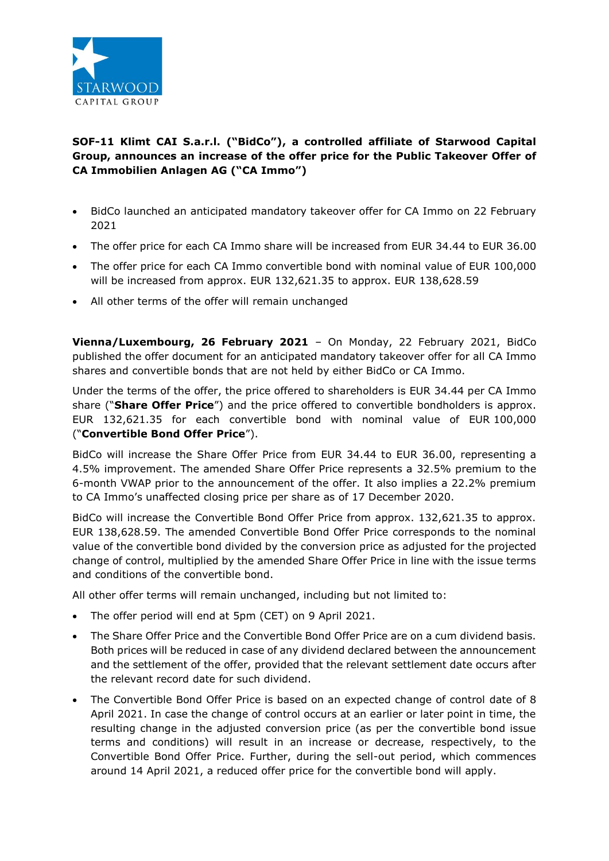

## **SOF-11 Klimt CAI S.a.r.l. ("BidCo"), a controlled affiliate of Starwood Capital Group, announces an increase of the offer price for the Public Takeover Offer of CA Immobilien Anlagen AG ("CA Immo")**

- BidCo launched an anticipated mandatory takeover offer for CA Immo on 22 February 2021
- The offer price for each CA Immo share will be increased from EUR 34.44 to EUR 36.00
- The offer price for each CA Immo convertible bond with nominal value of EUR 100,000 will be increased from approx. EUR 132,621.35 to approx. EUR 138,628.59
- All other terms of the offer will remain unchanged

**Vienna/Luxembourg, 26 February 2021** – On Monday, 22 February 2021, BidCo published the offer document for an anticipated mandatory takeover offer for all CA Immo shares and convertible bonds that are not held by either BidCo or CA Immo.

Under the terms of the offer, the price offered to shareholders is EUR 34.44 per CA Immo share ("**Share Offer Price**") and the price offered to convertible bondholders is approx. EUR 132,621.35 for each convertible bond with nominal value of EUR 100,000 ("**Convertible Bond Offer Price**").

BidCo will increase the Share Offer Price from EUR 34.44 to EUR 36.00, representing a 4.5% improvement. The amended Share Offer Price represents a 32.5% premium to the 6-month VWAP prior to the announcement of the offer. It also implies a 22.2% premium to CA Immo's unaffected closing price per share as of 17 December 2020.

BidCo will increase the Convertible Bond Offer Price from approx. 132,621.35 to approx. EUR 138,628.59. The amended Convertible Bond Offer Price corresponds to the nominal value of the convertible bond divided by the conversion price as adjusted for the projected change of control, multiplied by the amended Share Offer Price in line with the issue terms and conditions of the convertible bond.

All other offer terms will remain unchanged, including but not limited to:

- The offer period will end at 5pm (CET) on 9 April 2021.
- The Share Offer Price and the Convertible Bond Offer Price are on a cum dividend basis. Both prices will be reduced in case of any dividend declared between the announcement and the settlement of the offer, provided that the relevant settlement date occurs after the relevant record date for such dividend.
- The Convertible Bond Offer Price is based on an expected change of control date of 8 April 2021. In case the change of control occurs at an earlier or later point in time, the resulting change in the adjusted conversion price (as per the convertible bond issue terms and conditions) will result in an increase or decrease, respectively, to the Convertible Bond Offer Price. Further, during the sell-out period, which commences around 14 April 2021, a reduced offer price for the convertible bond will apply.